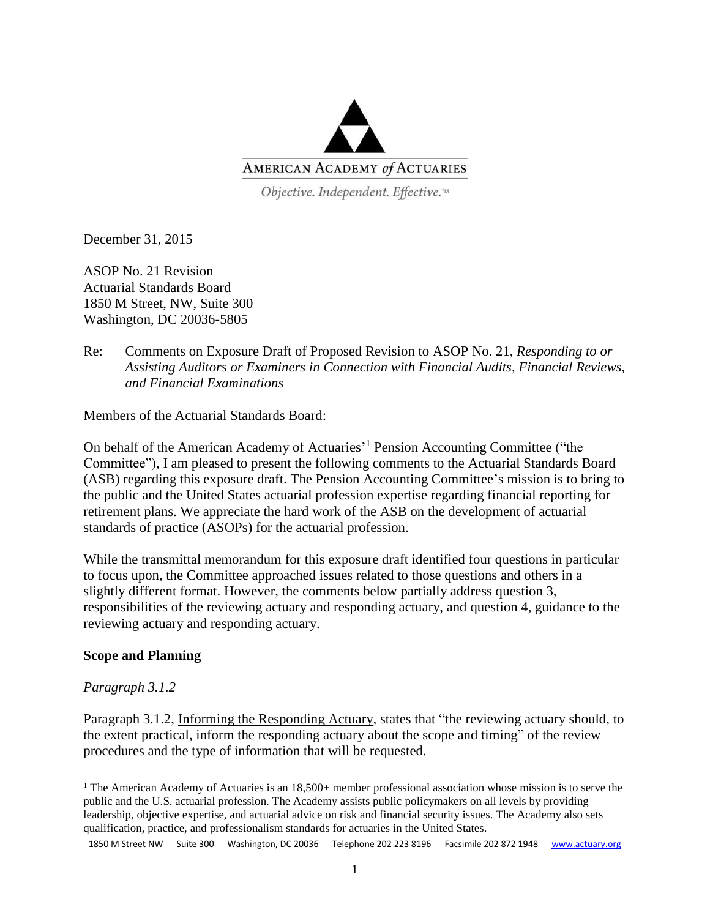

Objective. Independent. Effective.™

December 31, 2015

ASOP No. 21 Revision Actuarial Standards Board 1850 M Street, NW, Suite 300 Washington, DC 20036-5805

## Re: Comments on Exposure Draft of Proposed Revision to ASOP No. 21, *Responding to or Assisting Auditors or Examiners in Connection with Financial Audits, Financial Reviews, and Financial Examinations*

Members of the Actuarial Standards Board:

On behalf of the American Academy of Actuaries' <sup>1</sup> Pension Accounting Committee ("the Committee"), I am pleased to present the following comments to the Actuarial Standards Board (ASB) regarding this exposure draft. The Pension Accounting Committee's mission is to bring to the public and the United States actuarial profession expertise regarding financial reporting for retirement plans. We appreciate the hard work of the ASB on the development of actuarial standards of practice (ASOPs) for the actuarial profession.

While the transmittal memorandum for this exposure draft identified four questions in particular to focus upon, the Committee approached issues related to those questions and others in a slightly different format. However, the comments below partially address question 3, responsibilities of the reviewing actuary and responding actuary, and question 4, guidance to the reviewing actuary and responding actuary.

## **Scope and Planning**

#### *Paragraph 3.1.2*

 $\overline{\phantom{a}}$ 

Paragraph 3.1.2, Informing the Responding Actuary, states that "the reviewing actuary should, to the extent practical, inform the responding actuary about the scope and timing" of the review procedures and the type of information that will be requested.

<sup>&</sup>lt;sup>1</sup> The American Academy of Actuaries is an  $18,500+$  member professional association whose mission is to serve the public and the U.S. actuarial profession. The Academy assists public policymakers on all levels by providing leadership, objective expertise, and actuarial advice on risk and financial security issues. The Academy also sets qualification, practice, and professionalism standards for actuaries in the United States.

<sup>1850</sup> M Street NW Suite 300 Washington, DC 20036 Telephone 202 223 8196 Facsimile 202 872 1948 [www.actuary.org](http://www.actuary.org/)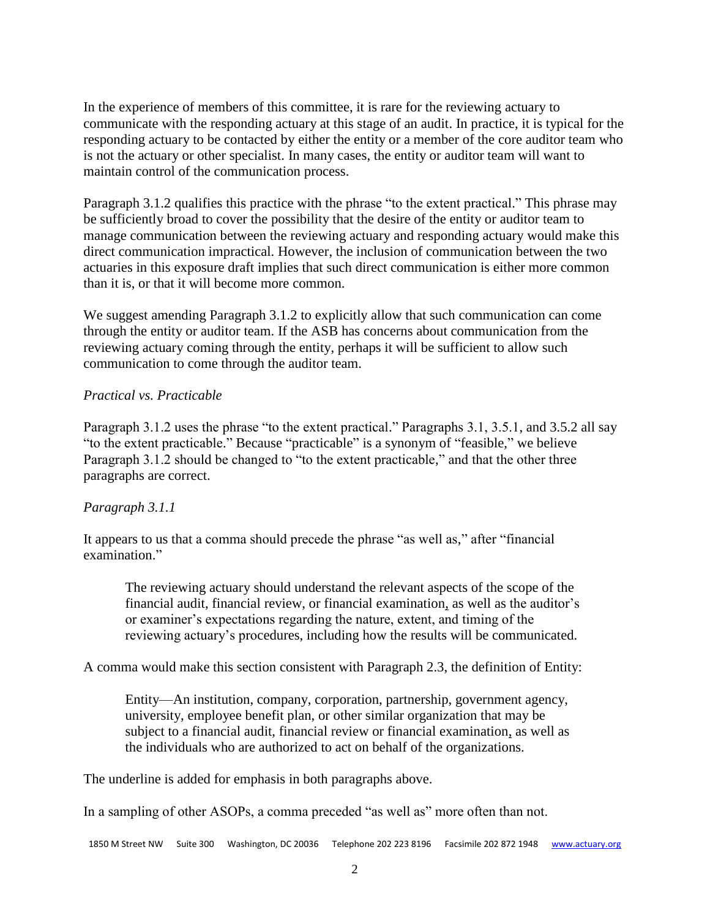In the experience of members of this committee, it is rare for the reviewing actuary to communicate with the responding actuary at this stage of an audit. In practice, it is typical for the responding actuary to be contacted by either the entity or a member of the core auditor team who is not the actuary or other specialist. In many cases, the entity or auditor team will want to maintain control of the communication process.

Paragraph 3.1.2 qualifies this practice with the phrase "to the extent practical." This phrase may be sufficiently broad to cover the possibility that the desire of the entity or auditor team to manage communication between the reviewing actuary and responding actuary would make this direct communication impractical. However, the inclusion of communication between the two actuaries in this exposure draft implies that such direct communication is either more common than it is, or that it will become more common.

We suggest amending Paragraph 3.1.2 to explicitly allow that such communication can come through the entity or auditor team. If the ASB has concerns about communication from the reviewing actuary coming through the entity, perhaps it will be sufficient to allow such communication to come through the auditor team.

#### *Practical vs. Practicable*

Paragraph 3.1.2 uses the phrase "to the extent practical." Paragraphs 3.1, 3.5.1, and 3.5.2 all say "to the extent practicable." Because "practicable" is a synonym of "feasible," we believe Paragraph 3.1.2 should be changed to "to the extent practicable," and that the other three paragraphs are correct.

## *Paragraph 3.1.1*

It appears to us that a comma should precede the phrase "as well as," after "financial examination."

The reviewing actuary should understand the relevant aspects of the scope of the financial audit, financial review, or financial examination, as well as the auditor's or examiner's expectations regarding the nature, extent, and timing of the reviewing actuary's procedures, including how the results will be communicated.

A comma would make this section consistent with Paragraph 2.3, the definition of Entity:

Entity—An institution, company, corporation, partnership, government agency, university, employee benefit plan, or other similar organization that may be subject to a financial audit, financial review or financial examination, as well as the individuals who are authorized to act on behalf of the organizations.

The underline is added for emphasis in both paragraphs above.

In a sampling of other ASOPs, a comma preceded "as well as" more often than not.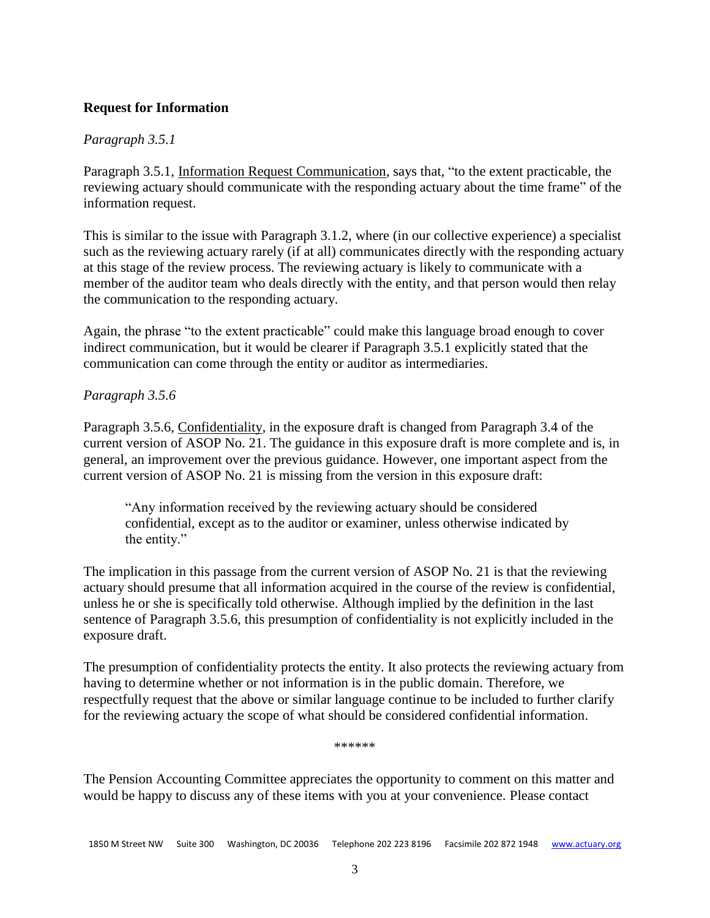# **Request for Information**

## *Paragraph 3.5.1*

Paragraph 3.5.1, Information Request Communication, says that, "to the extent practicable, the reviewing actuary should communicate with the responding actuary about the time frame" of the information request.

This is similar to the issue with Paragraph 3.1.2, where (in our collective experience) a specialist such as the reviewing actuary rarely (if at all) communicates directly with the responding actuary at this stage of the review process. The reviewing actuary is likely to communicate with a member of the auditor team who deals directly with the entity, and that person would then relay the communication to the responding actuary.

Again, the phrase "to the extent practicable" could make this language broad enough to cover indirect communication, but it would be clearer if Paragraph 3.5.1 explicitly stated that the communication can come through the entity or auditor as intermediaries.

# *Paragraph 3.5.6*

Paragraph 3.5.6, Confidentiality, in the exposure draft is changed from Paragraph 3.4 of the current version of ASOP No. 21. The guidance in this exposure draft is more complete and is, in general, an improvement over the previous guidance. However, one important aspect from the current version of ASOP No. 21 is missing from the version in this exposure draft:

"Any information received by the reviewing actuary should be considered confidential, except as to the auditor or examiner, unless otherwise indicated by the entity."

The implication in this passage from the current version of ASOP No. 21 is that the reviewing actuary should presume that all information acquired in the course of the review is confidential, unless he or she is specifically told otherwise. Although implied by the definition in the last sentence of Paragraph 3.5.6, this presumption of confidentiality is not explicitly included in the exposure draft.

The presumption of confidentiality protects the entity. It also protects the reviewing actuary from having to determine whether or not information is in the public domain. Therefore, we respectfully request that the above or similar language continue to be included to further clarify for the reviewing actuary the scope of what should be considered confidential information.

\*\*\*\*\*\*

The Pension Accounting Committee appreciates the opportunity to comment on this matter and would be happy to discuss any of these items with you at your convenience. Please contact